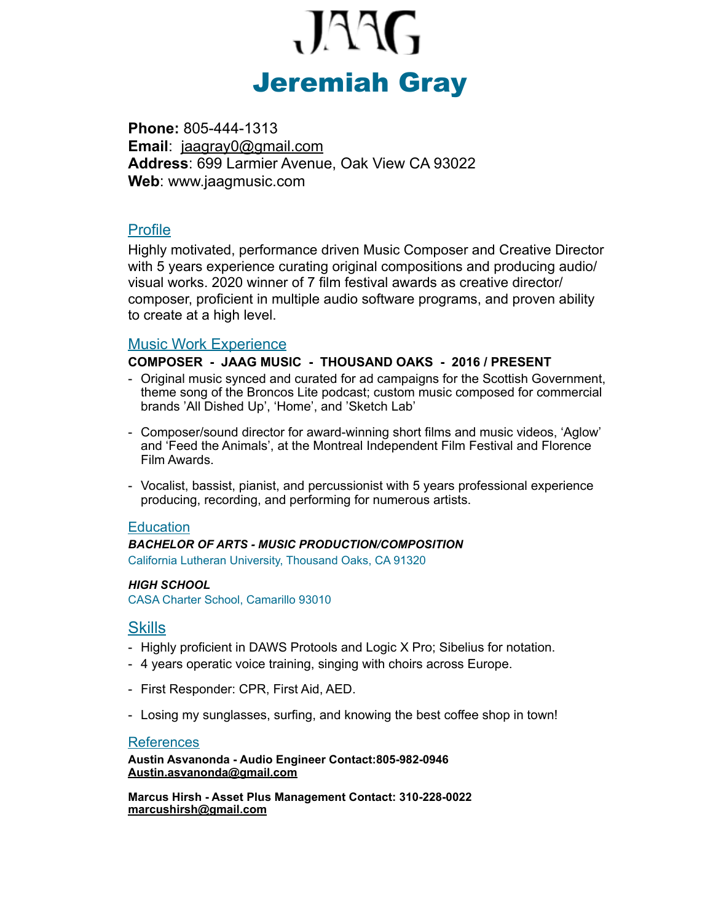

**Phone:** 805-444-1313 **Email**: [jaagray0@gmail.com](mailto:jaagray0@gmail.com)  **Address**: 699 Larmier Avenue, Oak View CA 93022 **Web**: www.jaagmusic.com

## Profile

Highly motivated, performance driven Music Composer and Creative Director with 5 years experience curating original compositions and producing audio/ visual works. 2020 winner of 7 film festival awards as creative director/ composer, proficient in multiple audio software programs, and proven ability to create at a high level.

## Music Work Experience

#### **COMPOSER - JAAG MUSIC - THOUSAND OAKS - 2016 / PRESENT**

- Original music synced and curated for ad campaigns for the Scottish Government, theme song of the Broncos Lite podcast; custom music composed for commercial brands 'All Dished Up', 'Home', and 'Sketch Lab'
- Composer/sound director for award-winning short films and music videos, 'Aglow' and 'Feed the Animals', at the Montreal Independent Film Festival and Florence Film Awards.
- Vocalist, bassist, pianist, and percussionist with 5 years professional experience producing, recording, and performing for numerous artists.

## **Education**

#### *BACHELOR OF ARTS - MUSIC PRODUCTION/COMPOSITION*

California Lutheran University, Thousand Oaks, CA 91320

#### *HIGH SCHOOL*

CASA Charter School, Camarillo 93010

## **Skills**

- Highly proficient in DAWS Protools and Logic X Pro; Sibelius for notation.
- 4 years operatic voice training, singing with choirs across Europe.
- First Responder: CPR, First Aid, AED.
- Losing my sunglasses, surfing, and knowing the best coffee shop in town!

### **References**

**Austin Asvanonda - Audio Engineer Contact:805-982-0946 Austin.asvanonda@gmail.com**

**Marcus Hirsh - Asset Plus Management Contact: 310-228-0022 [marcushirsh@gmail.com](mailto:marcushirsh@gmail.com)**